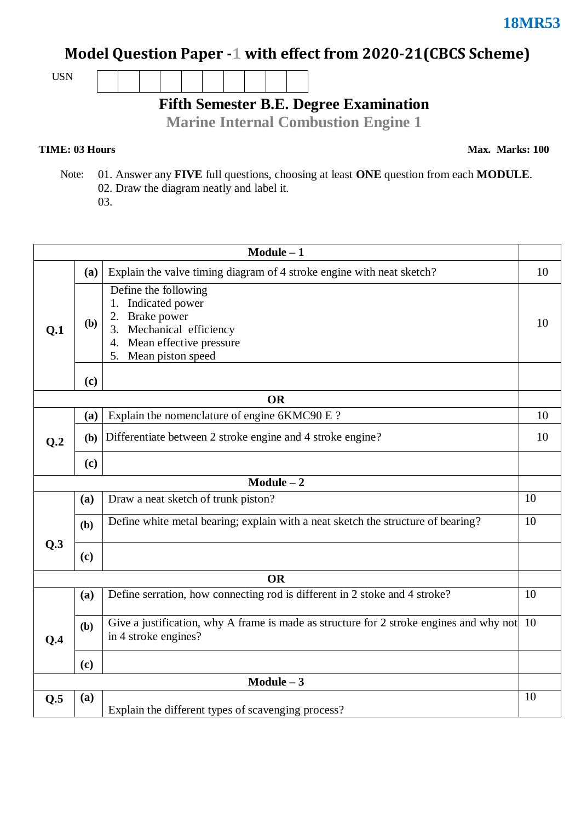## **Model Question Paper -1 with effect from 2020-21(CBCS Scheme)**

USN

**Fifth Semester B.E. Degree Examination**

**Marine Internal Combustion Engine 1**

## **TIME: 03 Hours**

**Max. Marks: 100**

 Note: 01. Answer any **FIVE** full questions, choosing at least **ONE** question from each **MODULE**. 02. Draw the diagram neatly and label it.

03.

| $Module - 1$    |     |                                                                                                                                                   |    |  |  |  |  |  |
|-----------------|-----|---------------------------------------------------------------------------------------------------------------------------------------------------|----|--|--|--|--|--|
|                 | (a) | Explain the valve timing diagram of 4 stroke engine with neat sketch?                                                                             |    |  |  |  |  |  |
| Q.1             | (b) | Define the following<br>1. Indicated power<br>Brake power<br>2.<br>3. Mechanical efficiency<br>4. Mean effective pressure<br>5. Mean piston speed | 10 |  |  |  |  |  |
|                 | (c) |                                                                                                                                                   |    |  |  |  |  |  |
| <b>OR</b>       |     |                                                                                                                                                   |    |  |  |  |  |  |
|                 | (a) | Explain the nomenclature of engine 6KMC90 E ?                                                                                                     | 10 |  |  |  |  |  |
| Q <sub>.2</sub> | (b) | Differentiate between 2 stroke engine and 4 stroke engine?                                                                                        |    |  |  |  |  |  |
|                 | (c) |                                                                                                                                                   |    |  |  |  |  |  |
| $Module - 2$    |     |                                                                                                                                                   |    |  |  |  |  |  |
|                 | (a) | Draw a neat sketch of trunk piston?                                                                                                               | 10 |  |  |  |  |  |
|                 | (b) | Define white metal bearing; explain with a neat sketch the structure of bearing?                                                                  | 10 |  |  |  |  |  |
| Q.3             | (c) |                                                                                                                                                   |    |  |  |  |  |  |
| <b>OR</b>       |     |                                                                                                                                                   |    |  |  |  |  |  |
|                 | (a) | Define serration, how connecting rod is different in 2 stoke and 4 stroke?                                                                        | 10 |  |  |  |  |  |
| Q.4             | (b) | Give a justification, why A frame is made as structure for 2 stroke engines and why not 10<br>in 4 stroke engines?                                |    |  |  |  |  |  |
|                 | (c) |                                                                                                                                                   |    |  |  |  |  |  |
| $Module - 3$    |     |                                                                                                                                                   |    |  |  |  |  |  |
| Q.5             | (a) | Explain the different types of scavenging process?                                                                                                | 10 |  |  |  |  |  |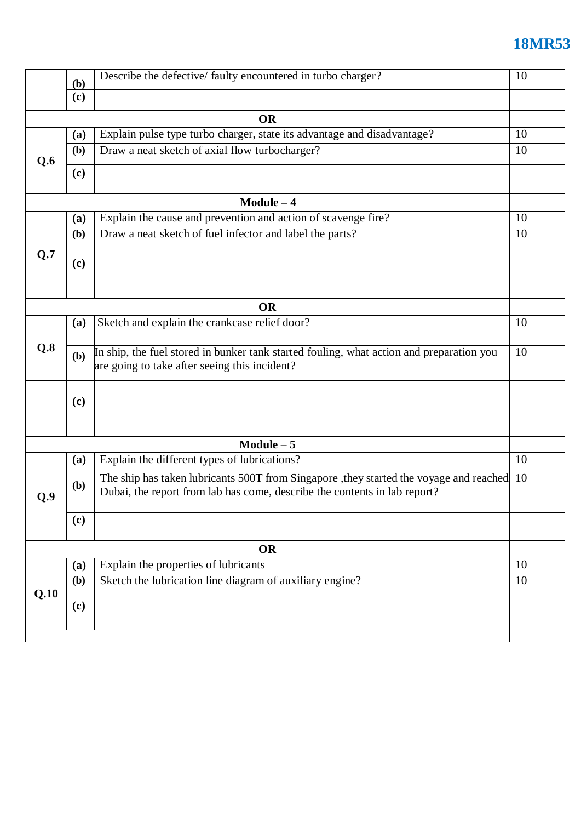## **18MR53**

|              | Describe the defective/ faulty encountered in turbo charger?<br><b>(b)</b> |                                                                                                                                                                         |    |  |  |  |
|--------------|----------------------------------------------------------------------------|-------------------------------------------------------------------------------------------------------------------------------------------------------------------------|----|--|--|--|
|              | (c)                                                                        |                                                                                                                                                                         |    |  |  |  |
| <b>OR</b>    |                                                                            |                                                                                                                                                                         |    |  |  |  |
|              | (a)                                                                        | Explain pulse type turbo charger, state its advantage and disadvantage?                                                                                                 | 10 |  |  |  |
| Q.6          | (b)                                                                        | Draw a neat sketch of axial flow turbocharger?                                                                                                                          |    |  |  |  |
|              |                                                                            |                                                                                                                                                                         |    |  |  |  |
|              | (c)                                                                        |                                                                                                                                                                         |    |  |  |  |
|              |                                                                            | $Module - 4$                                                                                                                                                            |    |  |  |  |
|              | (a)                                                                        | Explain the cause and prevention and action of scavenge fire?                                                                                                           | 10 |  |  |  |
|              | (b)                                                                        | Draw a neat sketch of fuel infector and label the parts?                                                                                                                | 10 |  |  |  |
| Q.7          | (c)                                                                        |                                                                                                                                                                         |    |  |  |  |
|              | <b>OR</b>                                                                  |                                                                                                                                                                         |    |  |  |  |
|              | (a)                                                                        | Sketch and explain the crankcase relief door?                                                                                                                           | 10 |  |  |  |
|              |                                                                            |                                                                                                                                                                         |    |  |  |  |
| Q.8          | (b)                                                                        | In ship, the fuel stored in bunker tank started fouling, what action and preparation you<br>are going to take after seeing this incident?                               | 10 |  |  |  |
|              | (c)                                                                        |                                                                                                                                                                         |    |  |  |  |
| $Module - 5$ |                                                                            |                                                                                                                                                                         |    |  |  |  |
| Q.9          | (a)                                                                        | Explain the different types of lubrications?                                                                                                                            | 10 |  |  |  |
|              | (b)                                                                        | The ship has taken lubricants 500T from Singapore , they started the voyage and reached 10<br>Dubai, the report from lab has come, describe the contents in lab report? |    |  |  |  |
|              | (c)                                                                        |                                                                                                                                                                         |    |  |  |  |
| <b>OR</b>    |                                                                            |                                                                                                                                                                         |    |  |  |  |
| Q.10         | (a)                                                                        | Explain the properties of lubricants                                                                                                                                    | 10 |  |  |  |
|              | (b)                                                                        | Sketch the lubrication line diagram of auxiliary engine?                                                                                                                |    |  |  |  |
|              | (c)                                                                        |                                                                                                                                                                         |    |  |  |  |
|              |                                                                            |                                                                                                                                                                         |    |  |  |  |